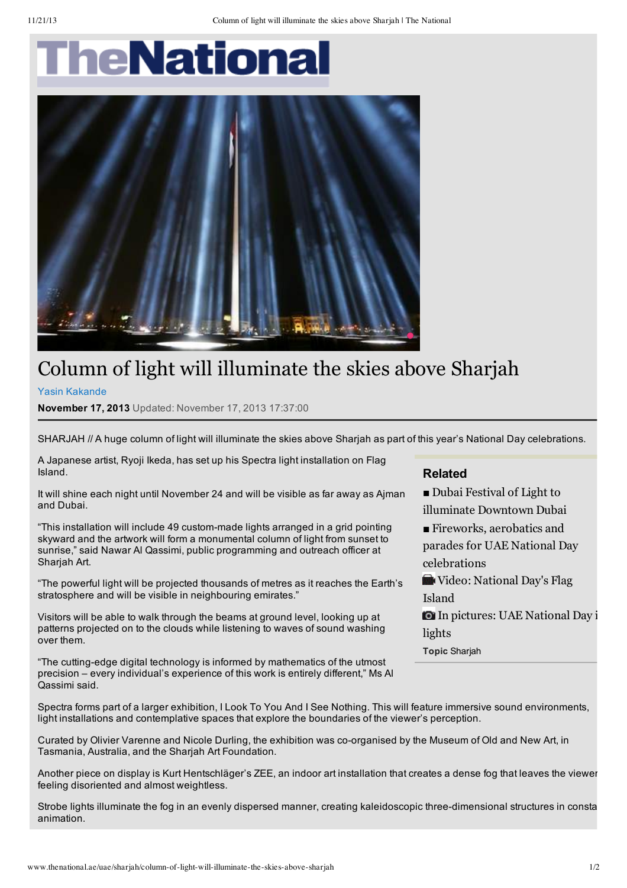## **TheNational**



## Column of light will illuminate the skies above Sharjah

Yasin Kakande

**November 17, 2013** Updated: November 17, 2013 17:37:00

SHARJAH // A huge column of light will illuminate the skies above Shariah as part of this year's National Day celebrations.

A Japanese artist, Ryoji Ikeda, has set up his Spectra light installation on Flag Island.

It will shine each night until November 24 and will be visible as far away as Ajman and Dubai.

"This installation will include 49 custom-made lights arranged in a grid pointing skyward and the artwork will form a monumental column of light from sunset to sunrise," said Nawar Al Qassimi, public programming and outreach officer at Shariah Art.

"The powerful light will be projected thousands of metres as it reaches the Earth's stratosphere and will be visible in neighbouring emirates."

Visitors will be able to walk through the beams at ground level, looking up at patterns projected on to the clouds while listening to waves of sound washing over them.

"The cutting-edge digital technology is informed by mathematics of the utmost precision – every individual's experience of this work is entirely different," Ms Al Qassimi said.

## **Related**

■ Dubai Festival of Light to illuminate Downtown Dubai

■ Fireworks, aerobatics and parades for UAE National Day celebrations

Video: National Day's Flag

Island

In pictures: UAE National Day in lights

**Topic** Sharjah

Spectra forms part of a larger exhibition, I Look To You And I See Nothing. This will feature immersive sound environments, light installations and contemplative spaces that explore the boundaries of the viewer's perception.

Curated by Olivier Varenne and Nicole Durling, the exhibition was co-organised by the Museum of Old and New Art, in Tasmania, Australia, and the Sharjah Art Foundation.

Another piece on display is Kurt Hentschläger's ZEE, an indoor art installation that creates a dense fog that leaves the viewer feeling disoriented and almost weightless.

Strobe lights illuminate the fog in an evenly dispersed manner, creating kaleidoscopic three-dimensional structures in consta animation.